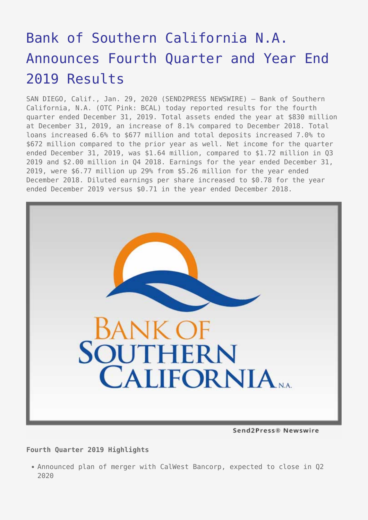# [Bank of Southern California N.A.](https://www.send2press.com/wire/bank-of-southern-california-n-a-announces-fourth-quarter-and-year-end-2019-results/) [Announces Fourth Quarter and Year End](https://www.send2press.com/wire/bank-of-southern-california-n-a-announces-fourth-quarter-and-year-end-2019-results/) [2019 Results](https://www.send2press.com/wire/bank-of-southern-california-n-a-announces-fourth-quarter-and-year-end-2019-results/)

SAN DIEGO, Calif., Jan. 29, 2020 (SEND2PRESS NEWSWIRE) — Bank of Southern California, N.A. (OTC Pink: BCAL) today reported results for the fourth quarter ended December 31, 2019. Total assets ended the year at \$830 million at December 31, 2019, an increase of 8.1% compared to December 2018. Total loans increased 6.6% to \$677 million and total deposits increased 7.0% to \$672 million compared to the prior year as well. Net income for the quarter ended December 31, 2019, was \$1.64 million, compared to \$1.72 million in Q3 2019 and \$2.00 million in Q4 2018. Earnings for the year ended December 31, 2019, were \$6.77 million up 29% from \$5.26 million for the year ended December 2018. Diluted earnings per share increased to \$0.78 for the year ended December 2019 versus \$0.71 in the year ended December 2018.



Send2Press® Newswire

#### **Fourth Quarter 2019 Highlights**

Announced plan of merger with CalWest Bancorp, expected to close in Q2 2020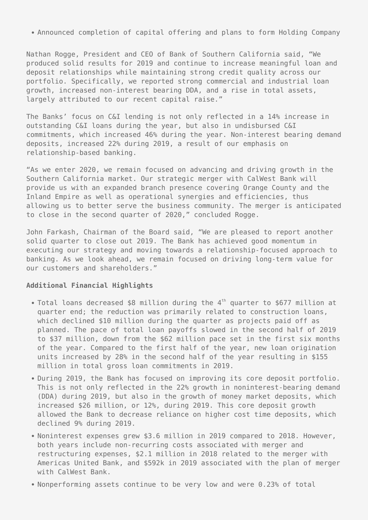Announced completion of capital offering and plans to form Holding Company

Nathan Rogge, President and CEO of Bank of Southern California said, "We produced solid results for 2019 and continue to increase meaningful loan and deposit relationships while maintaining strong credit quality across our portfolio. Specifically, we reported strong commercial and industrial loan growth, increased non-interest bearing DDA, and a rise in total assets, largely attributed to our recent capital raise."

The Banks' focus on C&I lending is not only reflected in a 14% increase in outstanding C&I loans during the year, but also in undisbursed C&I commitments, which increased 46% during the year. Non-interest bearing demand deposits, increased 22% during 2019, a result of our emphasis on relationship-based banking.

"As we enter 2020, we remain focused on advancing and driving growth in the Southern California market. Our strategic merger with CalWest Bank will provide us with an expanded branch presence covering Orange County and the Inland Empire as well as operational synergies and efficiencies, thus allowing us to better serve the business community. The merger is anticipated to close in the second quarter of 2020," concluded Rogge.

John Farkash, Chairman of the Board said, "We are pleased to report another solid quarter to close out 2019. The Bank has achieved good momentum in executing our strategy and moving towards a relationship-focused approach to banking. As we look ahead, we remain focused on driving long-term value for our customers and shareholders."

#### **Additional Financial Highlights**

- Total loans decreased \$8 million during the 4<sup>th</sup> quarter to \$677 million at quarter end; the reduction was primarily related to construction loans, which declined \$10 million during the quarter as projects paid off as planned. The pace of total loan payoffs slowed in the second half of 2019 to \$37 million, down from the \$62 million pace set in the first six months of the year. Compared to the first half of the year, new loan origination units increased by 28% in the second half of the year resulting in \$155 million in total gross loan commitments in 2019.
- During 2019, the Bank has focused on improving its core deposit portfolio. This is not only reflected in the 22% growth in noninterest-bearing demand (DDA) during 2019, but also in the growth of money market deposits, which increased \$26 million, or 12%, during 2019. This core deposit growth allowed the Bank to decrease reliance on higher cost time deposits, which declined 9% during 2019.
- Noninterest expenses grew \$3.6 million in 2019 compared to 2018. However, both years include non-recurring costs associated with merger and restructuring expenses, \$2.1 million in 2018 related to the merger with Americas United Bank, and \$592k in 2019 associated with the plan of merger with CalWest Bank.
- Nonperforming assets continue to be very low and were 0.23% of total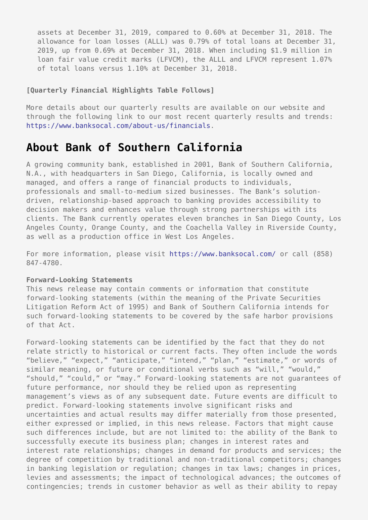assets at December 31, 2019, compared to 0.60% at December 31, 2018. The allowance for loan losses (ALLL) was 0.79% of total loans at December 31, 2019, up from 0.69% at December 31, 2018. When including \$1.9 million in loan fair value credit marks (LFVCM), the ALLL and LFVCM represent 1.07% of total loans versus 1.10% at December 31, 2018.

#### **[Quarterly Financial Highlights Table Follows]**

More details about our quarterly results are available on our website and through the following link to our most recent quarterly results and trends: [https://www.banksocal.com/about-us/financials.](https://www.banksocal.com/about-us/financials)

## **About Bank of Southern California**

A growing community bank, established in 2001, Bank of Southern California, N.A., with headquarters in San Diego, California, is locally owned and managed, and offers a range of financial products to individuals, professionals and small-to-medium sized businesses. The Bank's solutiondriven, relationship-based approach to banking provides accessibility to decision makers and enhances value through strong partnerships with its clients. The Bank currently operates eleven branches in San Diego County, Los Angeles County, Orange County, and the Coachella Valley in Riverside County, as well as a production office in West Los Angeles.

For more information, please visit<https://www.banksocal.com/> or call (858) 847-4780.

#### **Forward-Looking Statements**

This news release may contain comments or information that constitute forward-looking statements (within the meaning of the Private Securities Litigation Reform Act of 1995) and Bank of Southern California intends for such forward-looking statements to be covered by the safe harbor provisions of that Act.

Forward-looking statements can be identified by the fact that they do not relate strictly to historical or current facts. They often include the words "believe," "expect," "anticipate," "intend," "plan," "estimate," or words of similar meaning, or future or conditional verbs such as "will," "would," "should," "could," or "may." Forward-looking statements are not guarantees of future performance, nor should they be relied upon as representing management's views as of any subsequent date. Future events are difficult to predict. Forward-looking statements involve significant risks and uncertainties and actual results may differ materially from those presented, either expressed or implied, in this news release. Factors that might cause such differences include, but are not limited to: the ability of the Bank to successfully execute its business plan; changes in interest rates and interest rate relationships; changes in demand for products and services; the degree of competition by traditional and non-traditional competitors; changes in banking legislation or regulation; changes in tax laws; changes in prices, levies and assessments; the impact of technological advances; the outcomes of contingencies; trends in customer behavior as well as their ability to repay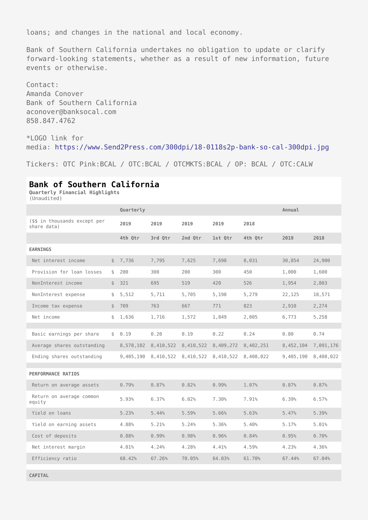loans; and changes in the national and local economy.

Bank of Southern California undertakes no obligation to update or clarify forward-looking statements, whether as a result of new information, future events or otherwise.

Contact: Amanda Conover Bank of Southern California aconover@banksocal.com 858.847.4762

\*LOGO link for media: [https://www.Send2Press.com/300dpi/18-0118s2p-bank-so-cal-300dpi.jpg](https://www.send2press.com/300dpi/18-0118s2p-bank-so-cal-300dpi.jpg)

Tickers: OTC Pink:BCAL / OTC:BCAL / OTCMKTS:BCAL / OP: BCAL / OTC:CALW

### **Bank of Southern California**

**Quarterly Financial Highlights** (Unaudited)

|                                              | Quarterly   |           |           |           |           | Annual    |           |
|----------------------------------------------|-------------|-----------|-----------|-----------|-----------|-----------|-----------|
| (\$\$ in thousands except per<br>share data) | 2019        | 2019      | 2019      | 2019      | 2018      |           |           |
|                                              | 4th Qtr     | 3rd Qtr   | 2nd Qtr   | 1st Qtr   | 4th Qtr   | 2019      | 2018      |
|                                              |             |           |           |           |           |           |           |
| <b>EARNINGS</b>                              |             |           |           |           |           |           |           |
| Net interest income                          | \$7,736     | 7,795     | 7,625     | 7,698     | 8,031     | 30,854    | 24,900    |
| Provision for loan losses                    | \$<br>200   | 300       | 200       | 300       | 450       | 1,000     | 1,600     |
| NonInterest income                           | \$<br>321   | 695       | 519       | 420       | 526       | 1,954     | 2,803     |
| NonInterest expense                          | \$<br>5,512 | 5,711     | 5,705     | 5,198     | 5,279     | 22,125    | 18,571    |
| Income tax expense                           | \$<br>709   | 763       | 667       | 771       | 823       | 2,910     | 2,274     |
| Net income                                   | \$<br>1,636 | 1,716     | 1,572     | 1,849     | 2,005     | 6,773     | 5,258     |
|                                              |             |           |           |           |           |           |           |
| Basic earnings per share                     | \$ 0.19     | 0.20      | 0.19      | 0.22      | 0.24      | 0.80      | 0.74      |
| Average shares outstanding                   | 8,578,102   | 8,410,522 | 8,410,522 | 8,409,272 | 8,402,251 | 8,452,104 | 7,091,176 |
| Ending shares outstanding                    | 9,405,190   | 8,410,522 | 8,410,522 | 8,410,522 | 8,408,022 | 9,405,190 | 8,408,022 |
|                                              |             |           |           |           |           |           |           |
| <b>PERFORMANCE RATIOS</b>                    |             |           |           |           |           |           |           |
| Return on average assets                     | 0.79%       | 0.87%     | 0.82%     | 0.99%     | 1.07%     | 0.87%     | 0.87%     |
| Return on average common<br>equity           | 5.93%       | 6.37%     | 6.02%     | 7.30%     | 7.91%     | 6.39%     | 6.57%     |
| Yield on loans                               | 5.23%       | 5.44%     | 5.59%     | 5.66%     | 5.63%     | 5.47%     | 5.39%     |
| Yield on earning assets                      | 4.88%       | 5.21%     | 5.24%     | 5.36%     | 5.40%     | 5.17%     | 5.01%     |
| Cost of deposits                             | 0.88%       | 0.99%     | 0.98%     | 0.96%     | 0.84%     | 0.95%     | 0.70%     |
| Net interest margin                          | 4.01%       | 4.24%     | 4.28%     | 4.41%     | 4.59%     | 4.23%     | 4.36%     |
| Efficiency ratio                             | 68.42%      | 67.26%    | 70.05%    | 64.03%    | 61.70%    | 67.44%    | 67.04%    |
|                                              |             |           |           |           |           |           |           |

**CAPITAL**